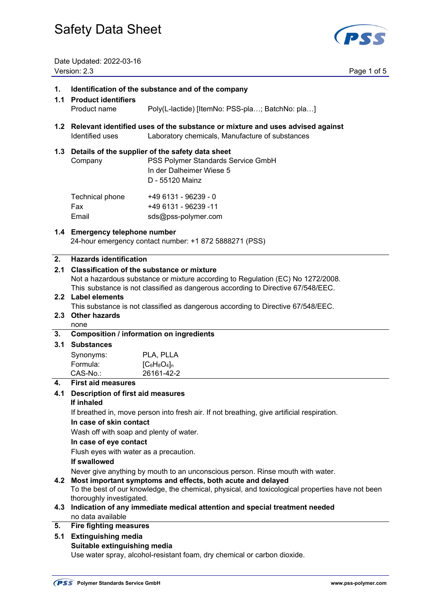

Date Updated: 2022-03-16 Version: 2.3 Page 1 of 5

| 1.<br>1.1        | Identification of the substance and of the company<br><b>Product identifiers</b>                                                                                                                                         |                                                                                                                                           |  |  |
|------------------|--------------------------------------------------------------------------------------------------------------------------------------------------------------------------------------------------------------------------|-------------------------------------------------------------------------------------------------------------------------------------------|--|--|
|                  | Product name                                                                                                                                                                                                             | Poly(L-lactide) [ItemNo: PSS-pla; BatchNo: pla]                                                                                           |  |  |
| 1.2 <sub>1</sub> | Relevant identified uses of the substance or mixture and uses advised against<br>Identified uses<br>Laboratory chemicals, Manufacture of substances                                                                      |                                                                                                                                           |  |  |
|                  | Company                                                                                                                                                                                                                  | 1.3 Details of the supplier of the safety data sheet<br>PSS Polymer Standards Service GmbH<br>In der Dalheimer Wiese 5<br>D - 55120 Mainz |  |  |
|                  | Technical phone<br>Fax<br>Email                                                                                                                                                                                          | +49 6131 - 96239 - 0<br>+49 6131 - 96239 -11<br>sds@pss-polymer.com                                                                       |  |  |
|                  |                                                                                                                                                                                                                          | 1.4 Emergency telephone number<br>24-hour emergency contact number: +1 872 5888271 (PSS)                                                  |  |  |
| 2.               | <b>Hazards identification</b>                                                                                                                                                                                            |                                                                                                                                           |  |  |
| 2.1              | <b>Classification of the substance or mixture</b><br>Not a hazardous substance or mixture according to Regulation (EC) No 1272/2008.<br>This substance is not classified as dangerous according to Directive 67/548/EEC. |                                                                                                                                           |  |  |
|                  | 2.2 Label elements<br>This substance is not classified as dangerous according to Directive 67/548/EEC.                                                                                                                   |                                                                                                                                           |  |  |
| 2.3              | <b>Other hazards</b>                                                                                                                                                                                                     |                                                                                                                                           |  |  |
| 3.               | none                                                                                                                                                                                                                     | <b>Composition / information on ingredients</b>                                                                                           |  |  |
| 3.1              | <b>Substances</b>                                                                                                                                                                                                        |                                                                                                                                           |  |  |
|                  | Synonyms:                                                                                                                                                                                                                | PLA, PLLA                                                                                                                                 |  |  |
|                  | Formula:                                                                                                                                                                                                                 | $[C_6H_8O_4]_n$                                                                                                                           |  |  |
|                  | CAS-No.:                                                                                                                                                                                                                 | 26161-42-2                                                                                                                                |  |  |
| 4.               | <b>First aid measures</b>                                                                                                                                                                                                |                                                                                                                                           |  |  |
| 4.1              | <b>Description of first aid measures</b>                                                                                                                                                                                 |                                                                                                                                           |  |  |
|                  | If inhaled                                                                                                                                                                                                               |                                                                                                                                           |  |  |
|                  | If breathed in, move person into fresh air. If not breathing, give artificial respiration.<br>In case of skin contact                                                                                                    |                                                                                                                                           |  |  |
|                  | Wash off with soap and plenty of water.                                                                                                                                                                                  |                                                                                                                                           |  |  |
|                  | In case of eye contact                                                                                                                                                                                                   |                                                                                                                                           |  |  |
|                  | Flush eyes with water as a precaution.                                                                                                                                                                                   |                                                                                                                                           |  |  |
|                  | If swallowed                                                                                                                                                                                                             |                                                                                                                                           |  |  |
|                  | Never give anything by mouth to an unconscious person. Rinse mouth with water.                                                                                                                                           |                                                                                                                                           |  |  |
| 4.2              | Most important symptoms and effects, both acute and delayed<br>To the best of our knowledge, the chemical, physical, and toxicological properties have not been                                                          |                                                                                                                                           |  |  |
| 4.3              | thoroughly investigated.<br>Indication of any immediate medical attention and special treatment needed                                                                                                                   |                                                                                                                                           |  |  |
|                  | no data available                                                                                                                                                                                                        |                                                                                                                                           |  |  |
| 5.               | <b>Fire fighting measures</b>                                                                                                                                                                                            |                                                                                                                                           |  |  |
| 5.1              | <b>Extinguishing media</b>                                                                                                                                                                                               |                                                                                                                                           |  |  |
|                  | Suitable extinguishing media                                                                                                                                                                                             |                                                                                                                                           |  |  |
|                  | Use water spray, alcohol-resistant foam, dry chemical or carbon dioxide.                                                                                                                                                 |                                                                                                                                           |  |  |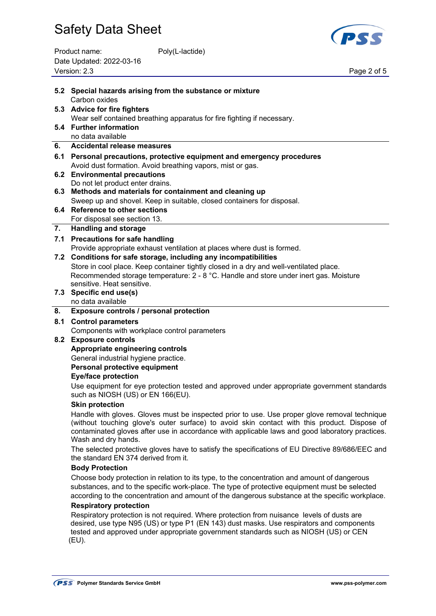| Product name:            | Poly(L-lactide) |
|--------------------------|-----------------|
| Date Updated: 2022-03-16 |                 |
| Version: 2.3             |                 |



Page 2 of 5

|     | 5.2 Special hazards arising from the substance or mixture                                                                                                                                                                                                                                                                 |  |  |  |  |
|-----|---------------------------------------------------------------------------------------------------------------------------------------------------------------------------------------------------------------------------------------------------------------------------------------------------------------------------|--|--|--|--|
|     | Carbon oxides<br>5.3 Advice for fire fighters                                                                                                                                                                                                                                                                             |  |  |  |  |
|     | Wear self contained breathing apparatus for fire fighting if necessary.                                                                                                                                                                                                                                                   |  |  |  |  |
|     | 5.4 Further information<br>no data available                                                                                                                                                                                                                                                                              |  |  |  |  |
| 6.  | <b>Accidental release measures</b>                                                                                                                                                                                                                                                                                        |  |  |  |  |
|     | 6.1 Personal precautions, protective equipment and emergency procedures                                                                                                                                                                                                                                                   |  |  |  |  |
|     | Avoid dust formation. Avoid breathing vapors, mist or gas.                                                                                                                                                                                                                                                                |  |  |  |  |
|     | 6.2 Environmental precautions                                                                                                                                                                                                                                                                                             |  |  |  |  |
|     | Do not let product enter drains.<br>6.3 Methods and materials for containment and cleaning up                                                                                                                                                                                                                             |  |  |  |  |
|     | Sweep up and shovel. Keep in suitable, closed containers for disposal.                                                                                                                                                                                                                                                    |  |  |  |  |
|     | 6.4 Reference to other sections                                                                                                                                                                                                                                                                                           |  |  |  |  |
|     | For disposal see section 13.                                                                                                                                                                                                                                                                                              |  |  |  |  |
| 7.  | <b>Handling and storage</b>                                                                                                                                                                                                                                                                                               |  |  |  |  |
| 7.1 | <b>Precautions for safe handling</b>                                                                                                                                                                                                                                                                                      |  |  |  |  |
|     | Provide appropriate exhaust ventilation at places where dust is formed.                                                                                                                                                                                                                                                   |  |  |  |  |
|     | 7.2 Conditions for safe storage, including any incompatibilities                                                                                                                                                                                                                                                          |  |  |  |  |
|     | Store in cool place. Keep container tightly closed in a dry and well-ventilated place.<br>Recommended storage temperature: 2 - 8 °C. Handle and store under inert gas. Moisture                                                                                                                                           |  |  |  |  |
|     | sensitive. Heat sensitive.                                                                                                                                                                                                                                                                                                |  |  |  |  |
|     | 7.3 Specific end use(s)                                                                                                                                                                                                                                                                                                   |  |  |  |  |
|     | no data available                                                                                                                                                                                                                                                                                                         |  |  |  |  |
| 8.  | Exposure controls / personal protection                                                                                                                                                                                                                                                                                   |  |  |  |  |
|     | 8.1 Control parameters                                                                                                                                                                                                                                                                                                    |  |  |  |  |
|     | Components with workplace control parameters                                                                                                                                                                                                                                                                              |  |  |  |  |
|     | 8.2 Exposure controls<br>Appropriate engineering controls                                                                                                                                                                                                                                                                 |  |  |  |  |
|     | General industrial hygiene practice.                                                                                                                                                                                                                                                                                      |  |  |  |  |
|     | Personal protective equipment                                                                                                                                                                                                                                                                                             |  |  |  |  |
|     | <b>Eye/face protection</b>                                                                                                                                                                                                                                                                                                |  |  |  |  |
|     | Use equipment for eye protection tested and approved under appropriate government standards<br>such as NIOSH (US) or EN 166(EU).                                                                                                                                                                                          |  |  |  |  |
|     | <b>Skin protection</b>                                                                                                                                                                                                                                                                                                    |  |  |  |  |
|     | Handle with gloves. Gloves must be inspected prior to use. Use proper glove removal technique<br>(without touching glove's outer surface) to avoid skin contact with this product. Dispose of<br>contaminated gloves after use in accordance with applicable laws and good laboratory practices.<br>Wash and dry hands.   |  |  |  |  |
|     | The selected protective gloves have to satisfy the specifications of EU Directive 89/686/EEC and<br>the standard EN 374 derived from it.                                                                                                                                                                                  |  |  |  |  |
|     | <b>Body Protection</b>                                                                                                                                                                                                                                                                                                    |  |  |  |  |
|     | Choose body protection in relation to its type, to the concentration and amount of dangerous<br>substances, and to the specific work-place. The type of protective equipment must be selected<br>according to the concentration and amount of the dangerous substance at the specific workplace.                          |  |  |  |  |
|     | <b>Respiratory protection</b><br>Respiratory protection is not required. Where protection from nuisance levels of dusts are<br>desired, use type N95 (US) or type P1 (EN 143) dust masks. Use respirators and components<br>tested and approved under appropriate government standards such as NIOSH (US) or CEN<br>(EU). |  |  |  |  |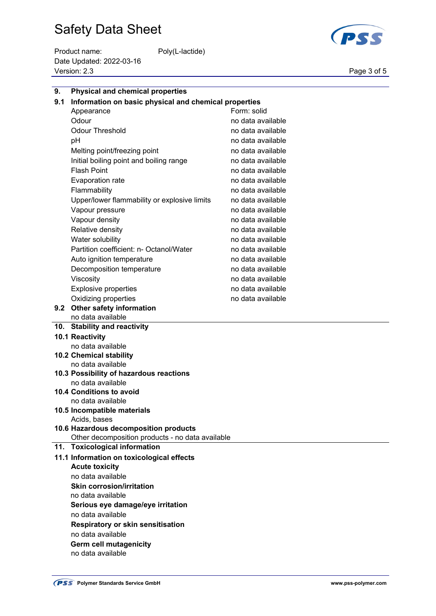Product name: Poly(L-lactide) Date Updated: 2022-03-16 Version: 2.3 Page 3 of 5



| 9.  | <b>Physical and chemical properties</b>               |                   |  |  |  |
|-----|-------------------------------------------------------|-------------------|--|--|--|
| 9.1 | Information on basic physical and chemical properties |                   |  |  |  |
|     | Form: solid<br>Appearance                             |                   |  |  |  |
|     | Odour                                                 | no data available |  |  |  |
|     | <b>Odour Threshold</b>                                | no data available |  |  |  |
|     | рH                                                    | no data available |  |  |  |
|     | Melting point/freezing point                          | no data available |  |  |  |
|     | Initial boiling point and boiling range               | no data available |  |  |  |
|     | <b>Flash Point</b>                                    | no data available |  |  |  |
|     | Evaporation rate                                      | no data available |  |  |  |
|     | Flammability                                          | no data available |  |  |  |
|     | Upper/lower flammability or explosive limits          | no data available |  |  |  |
|     | Vapour pressure                                       | no data available |  |  |  |
|     | Vapour density                                        | no data available |  |  |  |
|     | Relative density                                      | no data available |  |  |  |
|     | Water solubility                                      | no data available |  |  |  |
|     | Partition coefficient: n- Octanol/Water               | no data available |  |  |  |
|     | Auto ignition temperature                             | no data available |  |  |  |
|     | Decomposition temperature                             | no data available |  |  |  |
|     | Viscosity                                             | no data available |  |  |  |
|     | <b>Explosive properties</b>                           | no data available |  |  |  |
|     | Oxidizing properties                                  | no data available |  |  |  |
|     | 9.2 Other safety information                          |                   |  |  |  |
|     | no data available                                     |                   |  |  |  |
|     | 10. Stability and reactivity                          |                   |  |  |  |
|     | 10.1 Reactivity                                       |                   |  |  |  |
|     | no data available                                     |                   |  |  |  |
|     | 10.2 Chemical stability                               |                   |  |  |  |
|     | no data available                                     |                   |  |  |  |
|     | 10.3 Possibility of hazardous reactions               |                   |  |  |  |
|     | no data available                                     |                   |  |  |  |
|     | <b>10.4 Conditions to avoid</b><br>no data available  |                   |  |  |  |
|     | 10.5 Incompatible materials                           |                   |  |  |  |
|     | Acids, bases                                          |                   |  |  |  |
|     | 10.6 Hazardous decomposition products                 |                   |  |  |  |
|     | Other decomposition products - no data available      |                   |  |  |  |
|     | 11. Toxicological information                         |                   |  |  |  |
|     | 11.1 Information on toxicological effects             |                   |  |  |  |
|     | <b>Acute toxicity</b>                                 |                   |  |  |  |
|     | no data available                                     |                   |  |  |  |
|     | <b>Skin corrosion/irritation</b>                      |                   |  |  |  |
|     | no data available                                     |                   |  |  |  |
|     | Serious eye damage/eye irritation                     |                   |  |  |  |
|     | no data available                                     |                   |  |  |  |
|     | <b>Respiratory or skin sensitisation</b>              |                   |  |  |  |
|     | no data available                                     |                   |  |  |  |
|     | <b>Germ cell mutagenicity</b>                         |                   |  |  |  |

no data available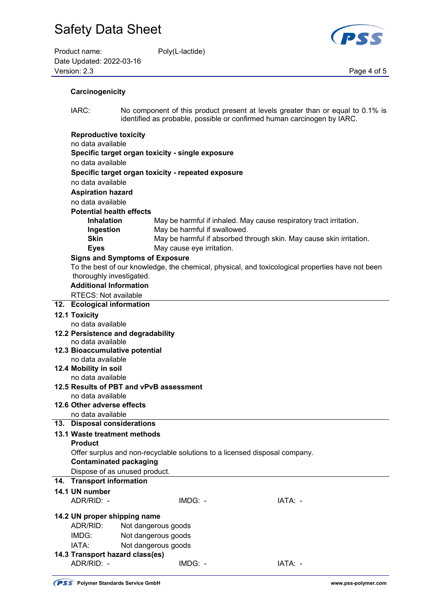| Product name:            | Poly(L-lactide) |             |
|--------------------------|-----------------|-------------|
| Date Updated: 2022-03-16 |                 |             |
| Version: 2.3             |                 | Page 4 of 5 |



#### **Carcinogenicity**

 IARC: No component of this product present at levels greater than or equal to 0.1% is identified as probable, possible or confirmed human carcinogen by IARC.

#### **Reproductive toxicity** no data available **Specific target organ toxicity - single exposure** no data available **Specific target organ toxicity - repeated exposure** no data available **Aspiration hazard** no data available **Potential health effects Inhalation** May be harmful if inhaled. May cause respiratory tract irritation. **Ingestion May be harmful if swallowed. Skin** May be harmful if absorbed through skin. May cause skin irritation. **Eyes May cause eye irritation.**

#### **Signs and Symptoms of Exposure**

 To the best of our knowledge, the chemical, physical, and toxicological properties have not been thoroughly investigated.

### **Additional Information**

RTECS: Not available

#### **12. Ecological information**

#### **12.1 Toxicity**

no data available

- **12.2 Persistence and degradability**
- no data available
- **12.3 Bioaccumulative potential**  no data available
- **12.4 Mobility in soil** 
	- no data available
- **12.5 Results of PBT and vPvB assessment** 
	- no data available

#### **12.6 Other adverse effects**

no data available

### **13. Disposal considerations**

#### **13.1 Waste treatment methods**

#### **Product**

Offer surplus and non-recyclable solutions to a licensed disposal company.

### **Contaminated packaging**

Dispose of as unused product.

### **14. Transport information**

### **14.1 UN number**

ADR/RID: - IMDG: - IATA: -

#### **14.2 UN proper shipping name**

ADR/RID: Not dangerous goods

- IMDG: Not dangerous goods
- IATA: Not dangerous goods
- **14.3 Transport hazard class(es)** ADR/RID: - IMDG: - IMDG: - IATA: -